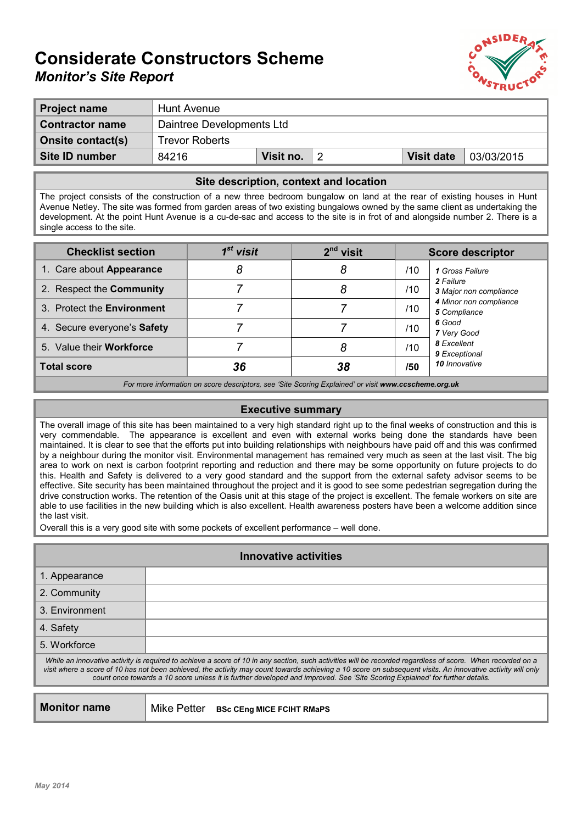## Considerate Constructors Scheme Monitor's Site Report



| <b>Project name</b>    | Hunt Avenue               |           |  |                   |            |
|------------------------|---------------------------|-----------|--|-------------------|------------|
| <b>Contractor name</b> | Daintree Developments Ltd |           |  |                   |            |
| Onsite contact(s)      | <b>Trevor Roberts</b>     |           |  |                   |            |
| Site ID number         | 84216                     | Visit no. |  | <b>Visit date</b> | 03/03/2015 |

#### Site description, context and location

The project consists of the construction of a new three bedroom bungalow on land at the rear of existing houses in Hunt Avenue Netley. The site was formed from garden areas of two existing bungalows owned by the same client as undertaking the development. At the point Hunt Avenue is a cu-de-sac and access to the site is in frot of and alongside number 2. There is a single access to the site.

| <b>Checklist section</b>          | $1st$ visit | $2nd$ visit |     | <b>Score descriptor</b>                |
|-----------------------------------|-------------|-------------|-----|----------------------------------------|
| 1. Care about Appearance          | 8           | 8           | /10 | 1 Gross Failure                        |
| 2. Respect the <b>Community</b>   |             | 8           | /10 | 2 Failure<br>3 Major non compliance    |
| 3. Protect the <b>Environment</b> |             |             | /10 | 4 Minor non compliance<br>5 Compliance |
| 4. Secure everyone's Safety       |             |             | /10 | 6 Good<br>7 Very Good                  |
| 5. Value their Workforce          |             | 8           | /10 | 8 Excellent<br>9 Exceptional           |
| <b>Total score</b>                | 36          | 38          | /50 | 10 Innovative                          |

For more information on score descriptors, see 'Site Scoring Explained' or visit www.ccscheme.org.uk

### Executive summary

The overall image of this site has been maintained to a very high standard right up to the final weeks of construction and this is very commendable. The appearance is excellent and even with external works being done the standards have been maintained. It is clear to see that the efforts put into building relationships with neighbours have paid off and this was confirmed by a neighbour during the monitor visit. Environmental management has remained very much as seen at the last visit. The big area to work on next is carbon footprint reporting and reduction and there may be some opportunity on future projects to do this. Health and Safety is delivered to a very good standard and the support from the external safety advisor seems to be effective. Site security has been maintained throughout the project and it is good to see some pedestrian segregation during the drive construction works. The retention of the Oasis unit at this stage of the project is excellent. The female workers on site are able to use facilities in the new building which is also excellent. Health awareness posters have been a welcome addition since the last visit.

Overall this is a very good site with some pockets of excellent performance – well done.

| <b>Innovative activities</b>                                                                                                                                                                                                                                                                                                                                                                                                                              |                                  |  |  |  |
|-----------------------------------------------------------------------------------------------------------------------------------------------------------------------------------------------------------------------------------------------------------------------------------------------------------------------------------------------------------------------------------------------------------------------------------------------------------|----------------------------------|--|--|--|
| 1. Appearance                                                                                                                                                                                                                                                                                                                                                                                                                                             |                                  |  |  |  |
| 2. Community                                                                                                                                                                                                                                                                                                                                                                                                                                              |                                  |  |  |  |
| 3. Environment                                                                                                                                                                                                                                                                                                                                                                                                                                            |                                  |  |  |  |
| 4. Safety                                                                                                                                                                                                                                                                                                                                                                                                                                                 |                                  |  |  |  |
| 5. Workforce                                                                                                                                                                                                                                                                                                                                                                                                                                              |                                  |  |  |  |
| While an innovative activity is required to achieve a score of 10 in any section, such activities will be recorded regardless of score. When recorded on a<br>visit where a score of 10 has not been achieved, the activity may count towards achieving a 10 score on subsequent visits. An innovative activity will only<br>count once towards a 10 score unless it is further developed and improved. See 'Site Scoring Explained' for further details. |                                  |  |  |  |
| <b>Monitor name</b>                                                                                                                                                                                                                                                                                                                                                                                                                                       | Mike Petter                      |  |  |  |
|                                                                                                                                                                                                                                                                                                                                                                                                                                                           | <b>BSc CEng MICE FCIHT RMaPS</b> |  |  |  |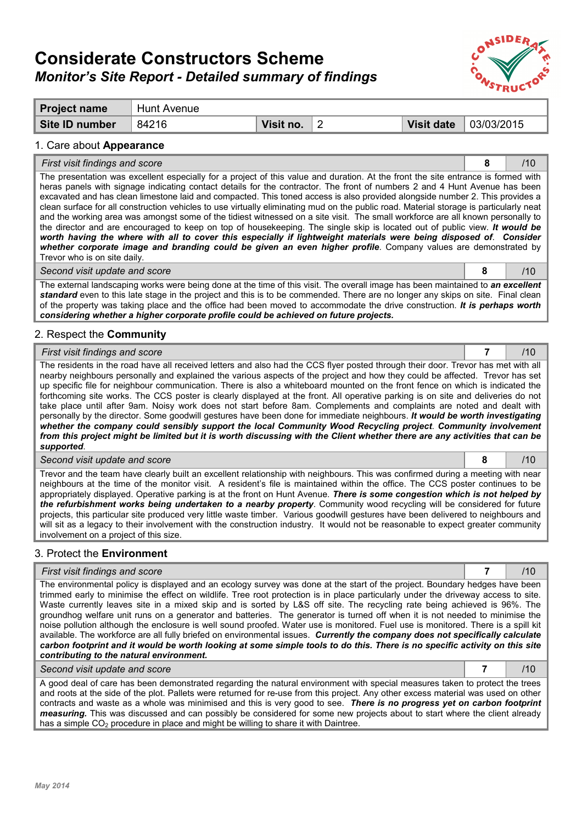# Considerate Constructors Scheme Monitor's Site Report - Detailed summary of findings



|                                                                               | <b>Hunt Avenue</b>                                                                                                                                                                                                                                                                                                                                                                                                                                                                                                                                                                                                                                                                                                                                                                                                                                                                                                                                                                                                                                 |           |                                                                                                                       |                   |                |     |
|-------------------------------------------------------------------------------|----------------------------------------------------------------------------------------------------------------------------------------------------------------------------------------------------------------------------------------------------------------------------------------------------------------------------------------------------------------------------------------------------------------------------------------------------------------------------------------------------------------------------------------------------------------------------------------------------------------------------------------------------------------------------------------------------------------------------------------------------------------------------------------------------------------------------------------------------------------------------------------------------------------------------------------------------------------------------------------------------------------------------------------------------|-----------|-----------------------------------------------------------------------------------------------------------------------|-------------------|----------------|-----|
| Site ID number                                                                | 84216                                                                                                                                                                                                                                                                                                                                                                                                                                                                                                                                                                                                                                                                                                                                                                                                                                                                                                                                                                                                                                              | Visit no. | $\overline{2}$                                                                                                        | <b>Visit date</b> | 03/03/2015     |     |
| 1. Care about <b>Appearance</b>                                               |                                                                                                                                                                                                                                                                                                                                                                                                                                                                                                                                                                                                                                                                                                                                                                                                                                                                                                                                                                                                                                                    |           |                                                                                                                       |                   |                |     |
| First visit findings and score                                                |                                                                                                                                                                                                                                                                                                                                                                                                                                                                                                                                                                                                                                                                                                                                                                                                                                                                                                                                                                                                                                                    |           |                                                                                                                       |                   | 8              | /10 |
| Trevor who is on site daily.                                                  | The presentation was excellent especially for a project of this value and duration. At the front the site entrance is formed with<br>heras panels with signage indicating contact details for the contractor. The front of numbers 2 and 4 Hunt Avenue has been<br>excavated and has clean limestone laid and compacted. This toned access is also provided alongside number 2. This provides a<br>clean surface for all construction vehicles to use virtually eliminating mud on the public road. Material storage is particularly neat<br>and the working area was amongst some of the tidiest witnessed on a site visit. The small workforce are all known personally to<br>the director and are encouraged to keep on top of housekeeping. The single skip is located out of public view. It would be<br>worth having the where with all to cover this especially if lightweight materials were being disposed of. Consider<br>whether corporate image and branding could be given an even higher profile. Company values are demonstrated by |           |                                                                                                                       |                   |                |     |
| Second visit update and score                                                 |                                                                                                                                                                                                                                                                                                                                                                                                                                                                                                                                                                                                                                                                                                                                                                                                                                                                                                                                                                                                                                                    |           |                                                                                                                       |                   | 8              | /10 |
|                                                                               | The external landscaping works were being done at the time of this visit. The overall image has been maintained to an excellent<br>standard even to this late stage in the project and this is to be commended. There are no longer any skips on site. Final clean<br>of the property was taking place and the office had been moved to accommodate the drive construction. It is perhaps worth<br>considering whether a higher corporate profile could be achieved on future projects.                                                                                                                                                                                                                                                                                                                                                                                                                                                                                                                                                            |           |                                                                                                                       |                   |                |     |
| 2. Respect the <b>Community</b>                                               |                                                                                                                                                                                                                                                                                                                                                                                                                                                                                                                                                                                                                                                                                                                                                                                                                                                                                                                                                                                                                                                    |           |                                                                                                                       |                   |                |     |
| First visit findings and score                                                |                                                                                                                                                                                                                                                                                                                                                                                                                                                                                                                                                                                                                                                                                                                                                                                                                                                                                                                                                                                                                                                    |           |                                                                                                                       |                   | $\overline{7}$ | /10 |
|                                                                               | nearby neighbours personally and explained the various aspects of the project and how they could be affected. Trevor has set<br>up specific file for neighbour communication. There is also a whiteboard mounted on the front fence on which is indicated the<br>forthcoming site works. The CCS poster is clearly displayed at the front. All operative parking is on site and deliveries do not                                                                                                                                                                                                                                                                                                                                                                                                                                                                                                                                                                                                                                                  |           |                                                                                                                       |                   |                |     |
| supported.                                                                    | personally by the director. Some goodwill gestures have been done for immediate neighbours. It would be worth investigating<br>whether the company could sensibly support the local Community Wood Recycling project. Community involvement<br>from this project might be limited but it is worth discussing with the Client whether there are any activities that can be                                                                                                                                                                                                                                                                                                                                                                                                                                                                                                                                                                                                                                                                          |           | take place until after 9am. Noisy work does not start before 8am. Complements and complaints are noted and dealt with |                   |                |     |
| Second visit update and score                                                 |                                                                                                                                                                                                                                                                                                                                                                                                                                                                                                                                                                                                                                                                                                                                                                                                                                                                                                                                                                                                                                                    |           |                                                                                                                       |                   | 8              | /10 |
| involvement on a project of this size.                                        | Trevor and the team have clearly built an excellent relationship with neighbours. This was confirmed during a meeting with near<br>neighbours at the time of the monitor visit. A resident's file is maintained within the office. The CCS poster continues to be<br>appropriately displayed. Operative parking is at the front on Hunt Avenue. There is some congestion which is not helped by<br>the refurbishment works being undertaken to a nearby property. Community wood recycling will be considered for future<br>projects, this particular site produced very little waste timber. Various goodwill gestures have been delivered to neighbours and<br>will sit as a legacy to their involvement with the construction industry. It would not be reasonable to expect greater community                                                                                                                                                                                                                                                  |           |                                                                                                                       |                   |                |     |
|                                                                               |                                                                                                                                                                                                                                                                                                                                                                                                                                                                                                                                                                                                                                                                                                                                                                                                                                                                                                                                                                                                                                                    |           |                                                                                                                       |                   |                |     |
| First visit findings and score                                                |                                                                                                                                                                                                                                                                                                                                                                                                                                                                                                                                                                                                                                                                                                                                                                                                                                                                                                                                                                                                                                                    |           |                                                                                                                       |                   | 7              | /10 |
| 3. Protect the <b>Environment</b><br>contributing to the natural environment. | The environmental policy is displayed and an ecology survey was done at the start of the project. Boundary hedges have been<br>trimmed early to minimise the effect on wildlife. Tree root protection is in place particularly under the driveway access to site.<br>Waste currently leaves site in a mixed skip and is sorted by L&S off site. The recycling rate being achieved is 96%. The<br>groundhog welfare unit runs on a generator and batteries. The generator is turned off when it is not needed to minimise the<br>noise pollution although the enclosure is well sound proofed. Water use is monitored. Fuel use is monitored. There is a spill kit<br>available. The workforce are all fully briefed on environmental issues. Currently the company does not specifically calculate<br>carbon footprint and it would be worth looking at some simple tools to do this. There is no specific activity on this site                                                                                                                   |           |                                                                                                                       |                   |                |     |
| Second visit update and score                                                 |                                                                                                                                                                                                                                                                                                                                                                                                                                                                                                                                                                                                                                                                                                                                                                                                                                                                                                                                                                                                                                                    |           |                                                                                                                       |                   | 7              | /10 |